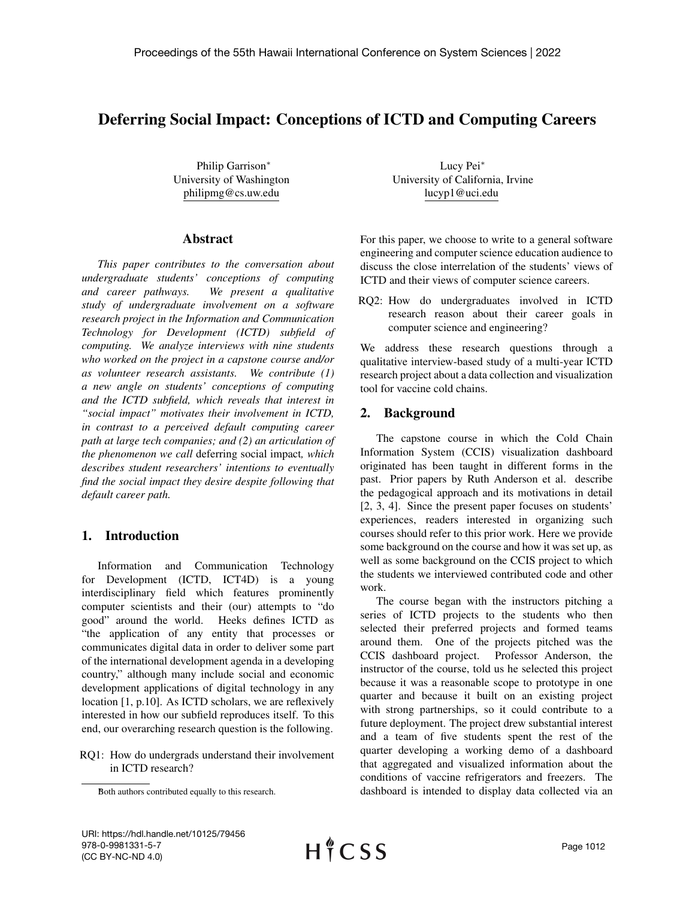# Deferring Social Impact: Conceptions of ICTD and Computing Careers

Philip Garrison<sup>∗</sup> University of Washington philipmg@cs.uw.edu

#### Abstract

*This paper contributes to the conversation about undergraduate students' conceptions of computing and career pathways. We present a qualitative study of undergraduate involvement on a software research project in the Information and Communication Technology for Development (ICTD) subfield of computing. We analyze interviews with nine students who worked on the project in a capstone course and/or as volunteer research assistants. We contribute (1) a new angle on students' conceptions of computing and the ICTD subfield, which reveals that interest in "social impact" motivates their involvement in ICTD, in contrast to a perceived default computing career path at large tech companies; and (2) an articulation of the phenomenon we call* deferring social impact*, which describes student researchers' intentions to eventually find the social impact they desire despite following that default career path.*

## 1. Introduction

Information and Communication Technology for Development (ICTD, ICT4D) is a young interdisciplinary field which features prominently computer scientists and their (our) attempts to "do good" around the world. Heeks defines ICTD as "the application of any entity that processes or communicates digital data in order to deliver some part of the international development agenda in a developing country," although many include social and economic development applications of digital technology in any location [1, p.10]. As ICTD scholars, we are reflexively interested in how our subfield reproduces itself. To this end, our overarching research question is the following.

RQ1: How do undergrads understand their involvement in ICTD research?

Lucy Pei<sup>∗</sup> University of California, Irvine lucyp1@uci.edu

For this paper, we choose to write to a general software engineering and computer science education audience to discuss the close interrelation of the students' views of ICTD and their views of computer science careers.

RQ2: How do undergraduates involved in ICTD research reason about their career goals in computer science and engineering?

We address these research questions through a qualitative interview-based study of a multi-year ICTD research project about a data collection and visualization tool for vaccine cold chains.

## 2. Background

The capstone course in which the Cold Chain Information System (CCIS) visualization dashboard originated has been taught in different forms in the past. Prior papers by Ruth Anderson et al. describe the pedagogical approach and its motivations in detail [2, 3, 4]. Since the present paper focuses on students' experiences, readers interested in organizing such courses should refer to this prior work. Here we provide some background on the course and how it was set up, as well as some background on the CCIS project to which the students we interviewed contributed code and other work.

The course began with the instructors pitching a series of ICTD projects to the students who then selected their preferred projects and formed teams around them. One of the projects pitched was the CCIS dashboard project. Professor Anderson, the instructor of the course, told us he selected this project because it was a reasonable scope to prototype in one quarter and because it built on an existing project with strong partnerships, so it could contribute to a future deployment. The project drew substantial interest and a team of five students spent the rest of the quarter developing a working demo of a dashboard that aggregated and visualized information about the conditions of vaccine refrigerators and freezers. The dashboard is intended to display data collected via an

Both authors contributed equally to this research.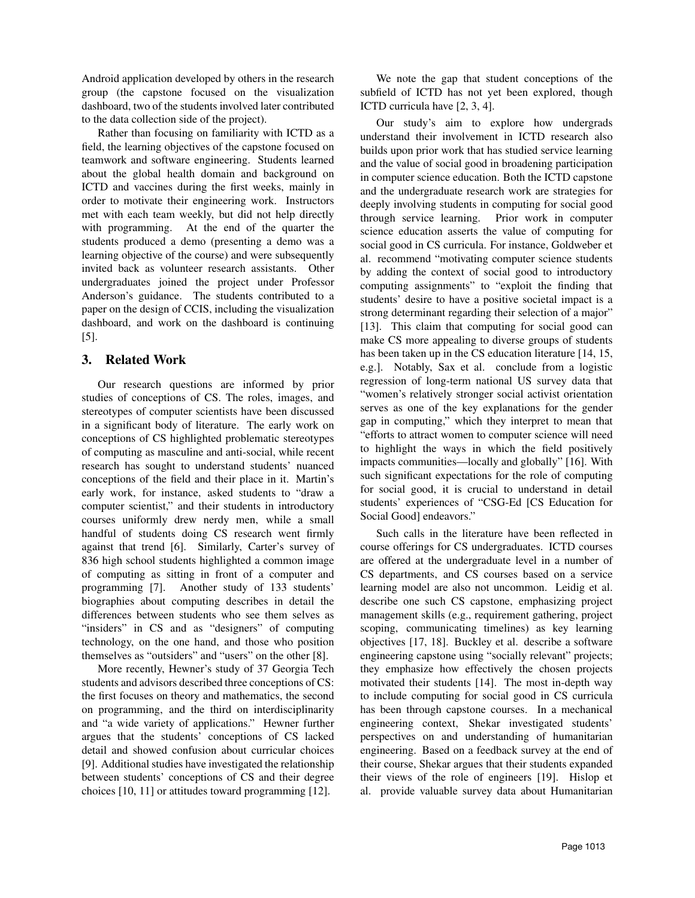Android application developed by others in the research group (the capstone focused on the visualization dashboard, two of the students involved later contributed to the data collection side of the project).

Rather than focusing on familiarity with ICTD as a field, the learning objectives of the capstone focused on teamwork and software engineering. Students learned about the global health domain and background on ICTD and vaccines during the first weeks, mainly in order to motivate their engineering work. Instructors met with each team weekly, but did not help directly with programming. At the end of the quarter the students produced a demo (presenting a demo was a learning objective of the course) and were subsequently invited back as volunteer research assistants. Other undergraduates joined the project under Professor Anderson's guidance. The students contributed to a paper on the design of CCIS, including the visualization dashboard, and work on the dashboard is continuing [5].

# 3. Related Work

Our research questions are informed by prior studies of conceptions of CS. The roles, images, and stereotypes of computer scientists have been discussed in a significant body of literature. The early work on conceptions of CS highlighted problematic stereotypes of computing as masculine and anti-social, while recent research has sought to understand students' nuanced conceptions of the field and their place in it. Martin's early work, for instance, asked students to "draw a computer scientist," and their students in introductory courses uniformly drew nerdy men, while a small handful of students doing CS research went firmly against that trend [6]. Similarly, Carter's survey of 836 high school students highlighted a common image of computing as sitting in front of a computer and programming [7]. Another study of 133 students' biographies about computing describes in detail the differences between students who see them selves as "insiders" in CS and as "designers" of computing technology, on the one hand, and those who position themselves as "outsiders" and "users" on the other [8].

More recently, Hewner's study of 37 Georgia Tech students and advisors described three conceptions of CS: the first focuses on theory and mathematics, the second on programming, and the third on interdisciplinarity and "a wide variety of applications." Hewner further argues that the students' conceptions of CS lacked detail and showed confusion about curricular choices [9]. Additional studies have investigated the relationship between students' conceptions of CS and their degree choices [10, 11] or attitudes toward programming [12].

We note the gap that student conceptions of the subfield of ICTD has not yet been explored, though ICTD curricula have [2, 3, 4].

Our study's aim to explore how undergrads understand their involvement in ICTD research also builds upon prior work that has studied service learning and the value of social good in broadening participation in computer science education. Both the ICTD capstone and the undergraduate research work are strategies for deeply involving students in computing for social good through service learning. Prior work in computer science education asserts the value of computing for social good in CS curricula. For instance, Goldweber et al. recommend "motivating computer science students by adding the context of social good to introductory computing assignments" to "exploit the finding that students' desire to have a positive societal impact is a strong determinant regarding their selection of a major" [13]. This claim that computing for social good can make CS more appealing to diverse groups of students has been taken up in the CS education literature [14, 15, e.g.]. Notably, Sax et al. conclude from a logistic regression of long-term national US survey data that "women's relatively stronger social activist orientation serves as one of the key explanations for the gender gap in computing," which they interpret to mean that "efforts to attract women to computer science will need to highlight the ways in which the field positively impacts communities—locally and globally" [16]. With such significant expectations for the role of computing for social good, it is crucial to understand in detail students' experiences of "CSG-Ed [CS Education for Social Goodl endeavors."

Such calls in the literature have been reflected in course offerings for CS undergraduates. ICTD courses are offered at the undergraduate level in a number of CS departments, and CS courses based on a service learning model are also not uncommon. Leidig et al. describe one such CS capstone, emphasizing project management skills (e.g., requirement gathering, project scoping, communicating timelines) as key learning objectives [17, 18]. Buckley et al. describe a software engineering capstone using "socially relevant" projects; they emphasize how effectively the chosen projects motivated their students [14]. The most in-depth way to include computing for social good in CS curricula has been through capstone courses. In a mechanical engineering context, Shekar investigated students' perspectives on and understanding of humanitarian engineering. Based on a feedback survey at the end of their course, Shekar argues that their students expanded their views of the role of engineers [19]. Hislop et al. provide valuable survey data about Humanitarian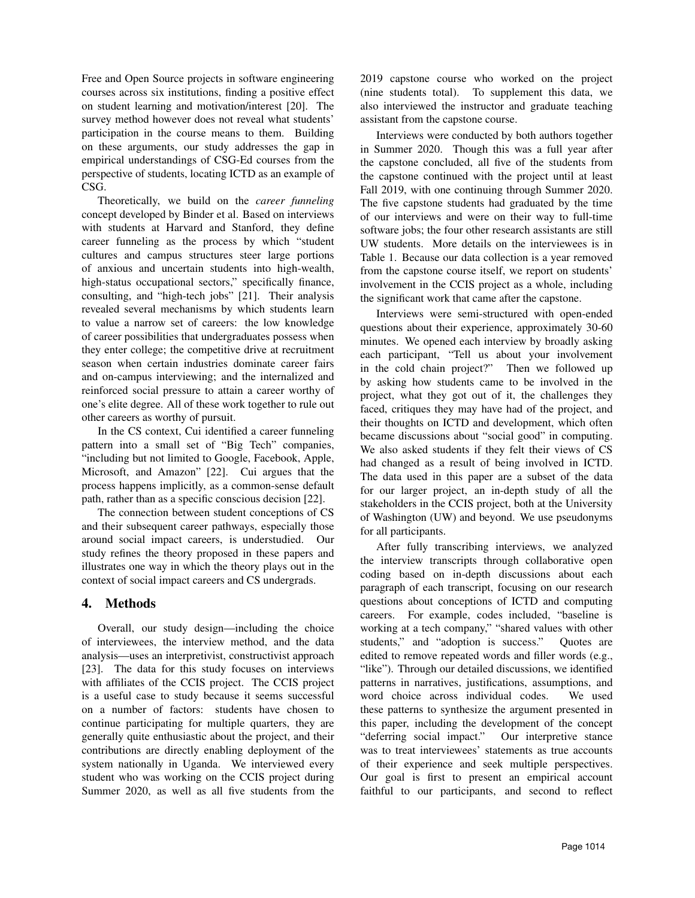Free and Open Source projects in software engineering courses across six institutions, finding a positive effect on student learning and motivation/interest [20]. The survey method however does not reveal what students' participation in the course means to them. Building on these arguments, our study addresses the gap in empirical understandings of CSG-Ed courses from the perspective of students, locating ICTD as an example of CSG.

Theoretically, we build on the *career funneling* concept developed by Binder et al. Based on interviews with students at Harvard and Stanford, they define career funneling as the process by which "student cultures and campus structures steer large portions of anxious and uncertain students into high-wealth, high-status occupational sectors," specifically finance, consulting, and "high-tech jobs" [21]. Their analysis revealed several mechanisms by which students learn to value a narrow set of careers: the low knowledge of career possibilities that undergraduates possess when they enter college; the competitive drive at recruitment season when certain industries dominate career fairs and on-campus interviewing; and the internalized and reinforced social pressure to attain a career worthy of one's elite degree. All of these work together to rule out other careers as worthy of pursuit.

In the CS context, Cui identified a career funneling pattern into a small set of "Big Tech" companies, "including but not limited to Google, Facebook, Apple, Microsoft, and Amazon" [22]. Cui argues that the process happens implicitly, as a common-sense default path, rather than as a specific conscious decision [22].

The connection between student conceptions of CS and their subsequent career pathways, especially those around social impact careers, is understudied. Our study refines the theory proposed in these papers and illustrates one way in which the theory plays out in the context of social impact careers and CS undergrads.

## 4. Methods

Overall, our study design—including the choice of interviewees, the interview method, and the data analysis—uses an interpretivist, constructivist approach [23]. The data for this study focuses on interviews with affiliates of the CCIS project. The CCIS project is a useful case to study because it seems successful on a number of factors: students have chosen to continue participating for multiple quarters, they are generally quite enthusiastic about the project, and their contributions are directly enabling deployment of the system nationally in Uganda. We interviewed every student who was working on the CCIS project during Summer 2020, as well as all five students from the

2019 capstone course who worked on the project (nine students total). To supplement this data, we also interviewed the instructor and graduate teaching assistant from the capstone course.

Interviews were conducted by both authors together in Summer 2020. Though this was a full year after the capstone concluded, all five of the students from the capstone continued with the project until at least Fall 2019, with one continuing through Summer 2020. The five capstone students had graduated by the time of our interviews and were on their way to full-time software jobs; the four other research assistants are still UW students. More details on the interviewees is in Table 1. Because our data collection is a year removed from the capstone course itself, we report on students' involvement in the CCIS project as a whole, including the significant work that came after the capstone.

Interviews were semi-structured with open-ended questions about their experience, approximately 30-60 minutes. We opened each interview by broadly asking each participant, "Tell us about your involvement in the cold chain project?" Then we followed up by asking how students came to be involved in the project, what they got out of it, the challenges they faced, critiques they may have had of the project, and their thoughts on ICTD and development, which often became discussions about "social good" in computing. We also asked students if they felt their views of CS had changed as a result of being involved in ICTD. The data used in this paper are a subset of the data for our larger project, an in-depth study of all the stakeholders in the CCIS project, both at the University of Washington (UW) and beyond. We use pseudonyms for all participants.

After fully transcribing interviews, we analyzed the interview transcripts through collaborative open coding based on in-depth discussions about each paragraph of each transcript, focusing on our research questions about conceptions of ICTD and computing careers. For example, codes included, "baseline is working at a tech company," "shared values with other students," and "adoption is success." Quotes are edited to remove repeated words and filler words (e.g., "like"). Through our detailed discussions, we identified patterns in narratives, justifications, assumptions, and word choice across individual codes. We used these patterns to synthesize the argument presented in this paper, including the development of the concept "deferring social impact." Our interpretive stance was to treat interviewees' statements as true accounts of their experience and seek multiple perspectives. Our goal is first to present an empirical account faithful to our participants, and second to reflect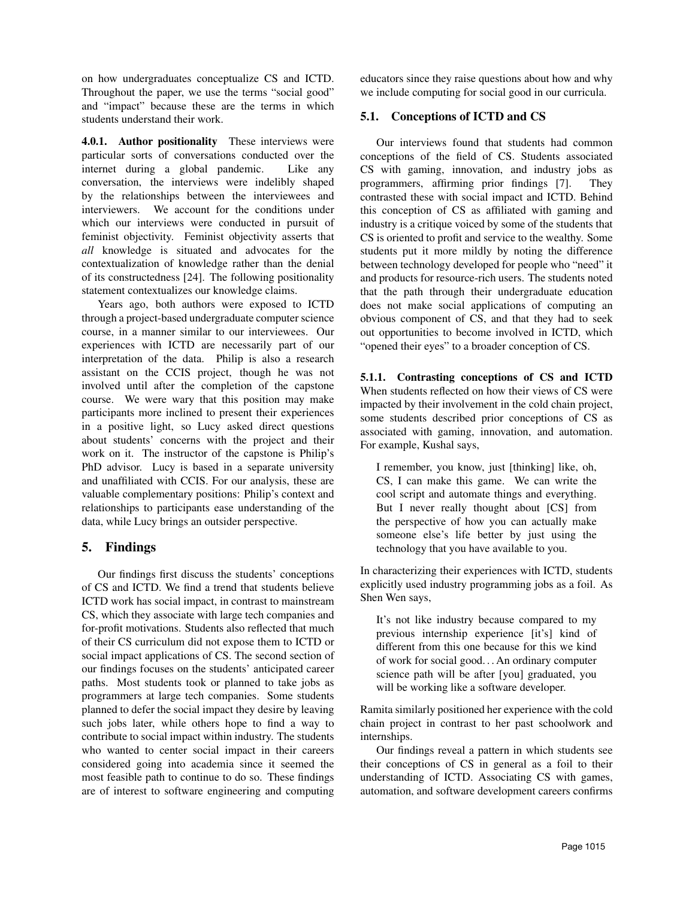on how undergraduates conceptualize CS and ICTD. Throughout the paper, we use the terms "social good" and "impact" because these are the terms in which students understand their work.

4.0.1. Author positionality These interviews were particular sorts of conversations conducted over the internet during a global pandemic. Like any conversation, the interviews were indelibly shaped by the relationships between the interviewees and interviewers. We account for the conditions under which our interviews were conducted in pursuit of feminist objectivity. Feminist objectivity asserts that *all* knowledge is situated and advocates for the contextualization of knowledge rather than the denial of its constructedness [24]. The following positionality statement contextualizes our knowledge claims.

Years ago, both authors were exposed to ICTD through a project-based undergraduate computer science course, in a manner similar to our interviewees. Our experiences with ICTD are necessarily part of our interpretation of the data. Philip is also a research assistant on the CCIS project, though he was not involved until after the completion of the capstone course. We were wary that this position may make participants more inclined to present their experiences in a positive light, so Lucy asked direct questions about students' concerns with the project and their work on it. The instructor of the capstone is Philip's PhD advisor. Lucy is based in a separate university and unaffiliated with CCIS. For our analysis, these are valuable complementary positions: Philip's context and relationships to participants ease understanding of the data, while Lucy brings an outsider perspective.

# 5. Findings

Our findings first discuss the students' conceptions of CS and ICTD. We find a trend that students believe ICTD work has social impact, in contrast to mainstream CS, which they associate with large tech companies and for-profit motivations. Students also reflected that much of their CS curriculum did not expose them to ICTD or social impact applications of CS. The second section of our findings focuses on the students' anticipated career paths. Most students took or planned to take jobs as programmers at large tech companies. Some students planned to defer the social impact they desire by leaving such jobs later, while others hope to find a way to contribute to social impact within industry. The students who wanted to center social impact in their careers considered going into academia since it seemed the most feasible path to continue to do so. These findings are of interest to software engineering and computing

educators since they raise questions about how and why we include computing for social good in our curricula.

#### 5.1. Conceptions of ICTD and CS

Our interviews found that students had common conceptions of the field of CS. Students associated CS with gaming, innovation, and industry jobs as programmers, affirming prior findings [7]. They contrasted these with social impact and ICTD. Behind this conception of CS as affiliated with gaming and industry is a critique voiced by some of the students that CS is oriented to profit and service to the wealthy. Some students put it more mildly by noting the difference between technology developed for people who "need" it and products for resource-rich users. The students noted that the path through their undergraduate education does not make social applications of computing an obvious component of CS, and that they had to seek out opportunities to become involved in ICTD, which "opened their eyes" to a broader conception of CS.

5.1.1. Contrasting conceptions of CS and ICTD When students reflected on how their views of CS were impacted by their involvement in the cold chain project, some students described prior conceptions of CS as associated with gaming, innovation, and automation. For example, Kushal says,

I remember, you know, just [thinking] like, oh, CS, I can make this game. We can write the cool script and automate things and everything. But I never really thought about [CS] from the perspective of how you can actually make someone else's life better by just using the technology that you have available to you.

In characterizing their experiences with ICTD, students explicitly used industry programming jobs as a foil. As Shen Wen says,

It's not like industry because compared to my previous internship experience [it's] kind of different from this one because for this we kind of work for social good. . . An ordinary computer science path will be after [you] graduated, you will be working like a software developer.

Ramita similarly positioned her experience with the cold chain project in contrast to her past schoolwork and internships.

Our findings reveal a pattern in which students see their conceptions of CS in general as a foil to their understanding of ICTD. Associating CS with games, automation, and software development careers confirms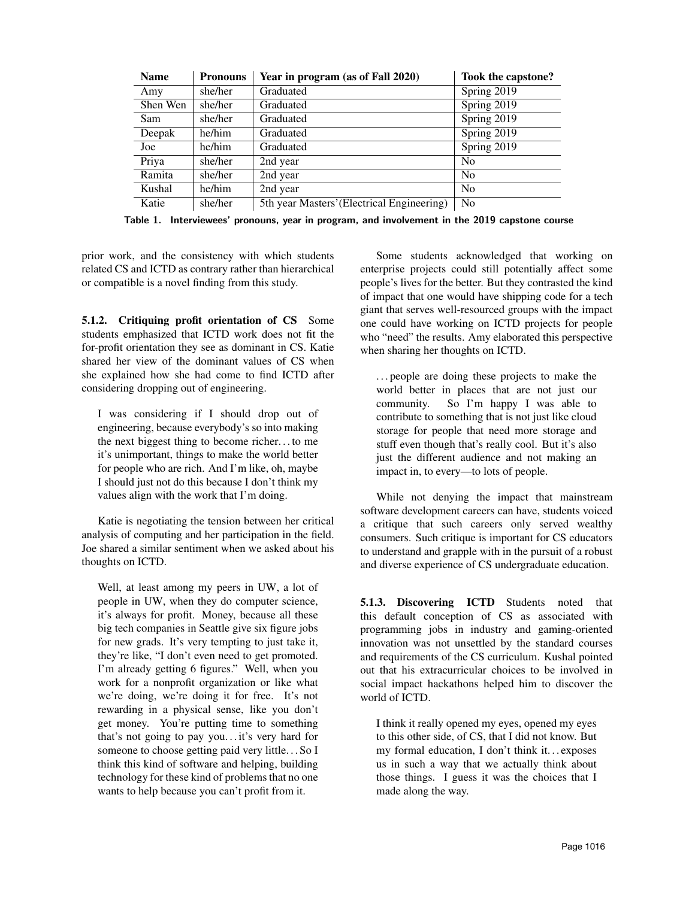| <b>Name</b> | <b>Pronouns</b> | Year in program (as of Fall 2020)          | Took the capstone? |
|-------------|-----------------|--------------------------------------------|--------------------|
| Amy         | she/her         | Graduated                                  | Spring 2019        |
| Shen Wen    | she/her         | Graduated                                  | Spring 2019        |
| Sam         | she/her         | Graduated                                  | Spring 2019        |
| Deepak      | he/him          | Graduated                                  | Spring 2019        |
| Joe         | he/him          | Graduated                                  | Spring 2019        |
| Priya       | she/her         | 2nd year                                   | N <sub>0</sub>     |
| Ramita      | she/her         | 2nd year                                   | N <sub>0</sub>     |
| Kushal      | he/him          | 2nd year                                   | N <sub>0</sub>     |
| Katie       | she/her         | 5th year Masters' (Electrical Engineering) | N <sub>0</sub>     |

Table 1. Interviewees' pronouns, year in program, and involvement in the 2019 capstone course

prior work, and the consistency with which students related CS and ICTD as contrary rather than hierarchical or compatible is a novel finding from this study.

5.1.2. Critiquing profit orientation of CS Some students emphasized that ICTD work does not fit the for-profit orientation they see as dominant in CS. Katie shared her view of the dominant values of CS when she explained how she had come to find ICTD after considering dropping out of engineering.

I was considering if I should drop out of engineering, because everybody's so into making the next biggest thing to become richer. . . to me it's unimportant, things to make the world better for people who are rich. And I'm like, oh, maybe I should just not do this because I don't think my values align with the work that I'm doing.

Katie is negotiating the tension between her critical analysis of computing and her participation in the field. Joe shared a similar sentiment when we asked about his thoughts on ICTD.

Well, at least among my peers in UW, a lot of people in UW, when they do computer science, it's always for profit. Money, because all these big tech companies in Seattle give six figure jobs for new grads. It's very tempting to just take it, they're like, "I don't even need to get promoted. I'm already getting 6 figures." Well, when you work for a nonprofit organization or like what we're doing, we're doing it for free. It's not rewarding in a physical sense, like you don't get money. You're putting time to something that's not going to pay you. . . it's very hard for someone to choose getting paid very little. . . So I think this kind of software and helping, building technology for these kind of problems that no one wants to help because you can't profit from it.

Some students acknowledged that working on enterprise projects could still potentially affect some people's lives for the better. But they contrasted the kind of impact that one would have shipping code for a tech giant that serves well-resourced groups with the impact one could have working on ICTD projects for people who "need" the results. Amy elaborated this perspective when sharing her thoughts on ICTD.

. . . people are doing these projects to make the world better in places that are not just our community. So I'm happy I was able to contribute to something that is not just like cloud storage for people that need more storage and stuff even though that's really cool. But it's also just the different audience and not making an impact in, to every—to lots of people.

While not denying the impact that mainstream software development careers can have, students voiced a critique that such careers only served wealthy consumers. Such critique is important for CS educators to understand and grapple with in the pursuit of a robust and diverse experience of CS undergraduate education.

5.1.3. Discovering ICTD Students noted that this default conception of CS as associated with programming jobs in industry and gaming-oriented innovation was not unsettled by the standard courses and requirements of the CS curriculum. Kushal pointed out that his extracurricular choices to be involved in social impact hackathons helped him to discover the world of ICTD.

I think it really opened my eyes, opened my eyes to this other side, of CS, that I did not know. But my formal education, I don't think it... exposes us in such a way that we actually think about those things. I guess it was the choices that I made along the way.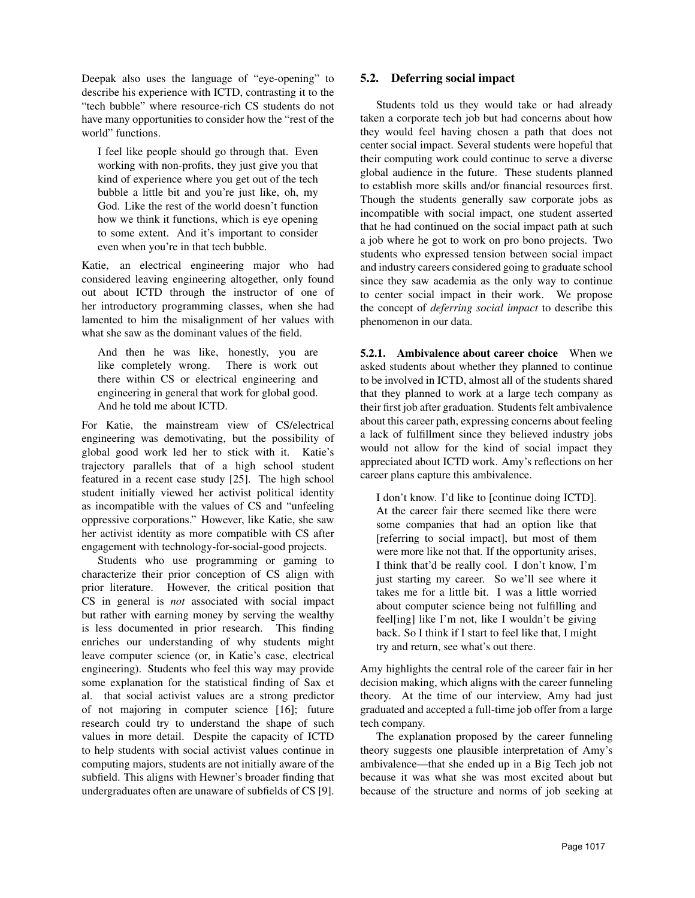Deepak also uses the language of "eye-opening" to describe his experience with ICTD, contrasting it to the "tech bubble" where resource-rich CS students do not have many opportunities to consider how the "rest of the world" functions.

I feel like people should go through that. Even working with non-profits, they just give you that kind of experience where you get out of the tech bubble a little bit and you're just like, oh, my God. Like the rest of the world doesn't function how we think it functions, which is eye opening to some extent. And it's important to consider even when you're in that tech bubble.

Katie, an electrical engineering major who had considered leaving engineering altogether, only found out about ICTD through the instructor of one of her introductory programming classes, when she had lamented to him the misalignment of her values with what she saw as the dominant values of the field.

And then he was like, honestly, you are like completely wrong. There is work out there within CS or electrical engineering and engineering in general that work for global good. And he told me about ICTD.

For Katie, the mainstream view of CS/electrical engineering was demotivating, but the possibility of global good work led her to stick with it. Katie's trajectory parallels that of a high school student featured in a recent case study [25]. The high school student initially viewed her activist political identity as incompatible with the values of CS and "unfeeling oppressive corporations." However, like Katie, she saw her activist identity as more compatible with CS after engagement with technology-for-social-good projects.

Students who use programming or gaming to characterize their prior conception of CS align with prior literature. However, the critical position that CS in general is *not* associated with social impact but rather with earning money by serving the wealthy is less documented in prior research. This finding enriches our understanding of why students might leave computer science (or, in Katie's case, electrical engineering). Students who feel this way may provide some explanation for the statistical finding of Sax et al. that social activist values are a strong predictor of not majoring in computer science [16]; future research could try to understand the shape of such values in more detail. Despite the capacity of ICTD to help students with social activist values continue in computing majors, students are not initially aware of the subfield. This aligns with Hewner's broader finding that undergraduates often are unaware of subfields of CS [9].

## 5.2. Deferring social impact

Students told us they would take or had already taken a corporate tech job but had concerns about how they would feel having chosen a path that does not center social impact. Several students were hopeful that their computing work could continue to serve a diverse global audience in the future. These students planned to establish more skills and/or financial resources first. Though the students generally saw corporate jobs as incompatible with social impact, one student asserted that he had continued on the social impact path at such a job where he got to work on pro bono projects. Two students who expressed tension between social impact and industry careers considered going to graduate school since they saw academia as the only way to continue to center social impact in their work. We propose the concept of *deferring social impact* to describe this phenomenon in our data.

5.2.1. Ambivalence about career choice When we asked students about whether they planned to continue to be involved in ICTD, almost all of the students shared that they planned to work at a large tech company as their first job after graduation. Students felt ambivalence about this career path, expressing concerns about feeling a lack of fulfillment since they believed industry jobs would not allow for the kind of social impact they appreciated about ICTD work. Amy's reflections on her career plans capture this ambivalence.

I don't know. I'd like to [continue doing ICTD]. At the career fair there seemed like there were some companies that had an option like that [referring to social impact], but most of them were more like not that. If the opportunity arises, I think that'd be really cool. I don't know, I'm just starting my career. So we'll see where it takes me for a little bit. I was a little worried about computer science being not fulfilling and feel[ing] like I'm not, like I wouldn't be giving back. So I think if I start to feel like that, I might try and return, see what's out there.

Amy highlights the central role of the career fair in her decision making, which aligns with the career funneling theory. At the time of our interview, Amy had just graduated and accepted a full-time job offer from a large tech company.

The explanation proposed by the career funneling theory suggests one plausible interpretation of Amy's ambivalence—that she ended up in a Big Tech job not because it was what she was most excited about but because of the structure and norms of job seeking at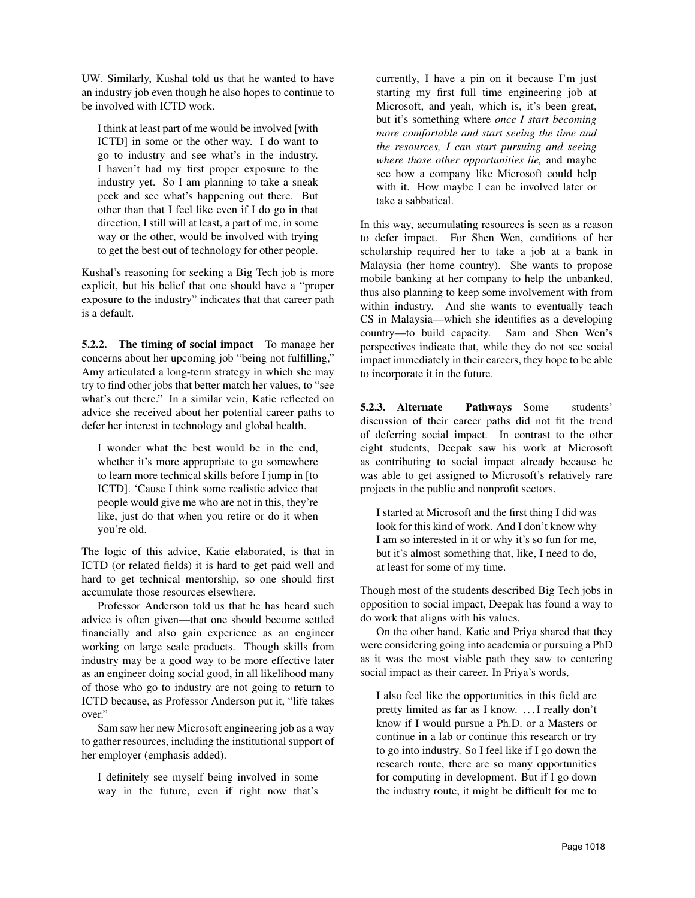UW. Similarly, Kushal told us that he wanted to have an industry job even though he also hopes to continue to be involved with ICTD work.

I think at least part of me would be involved [with ICTD] in some or the other way. I do want to go to industry and see what's in the industry. I haven't had my first proper exposure to the industry yet. So I am planning to take a sneak peek and see what's happening out there. But other than that I feel like even if I do go in that direction, I still will at least, a part of me, in some way or the other, would be involved with trying to get the best out of technology for other people.

Kushal's reasoning for seeking a Big Tech job is more explicit, but his belief that one should have a "proper exposure to the industry" indicates that that career path is a default.

5.2.2. The timing of social impact To manage her concerns about her upcoming job "being not fulfilling," Amy articulated a long-term strategy in which she may try to find other jobs that better match her values, to "see what's out there." In a similar vein, Katie reflected on advice she received about her potential career paths to defer her interest in technology and global health.

I wonder what the best would be in the end, whether it's more appropriate to go somewhere to learn more technical skills before I jump in [to ICTD]. 'Cause I think some realistic advice that people would give me who are not in this, they're like, just do that when you retire or do it when you're old.

The logic of this advice, Katie elaborated, is that in ICTD (or related fields) it is hard to get paid well and hard to get technical mentorship, so one should first accumulate those resources elsewhere.

Professor Anderson told us that he has heard such advice is often given—that one should become settled financially and also gain experience as an engineer working on large scale products. Though skills from industry may be a good way to be more effective later as an engineer doing social good, in all likelihood many of those who go to industry are not going to return to ICTD because, as Professor Anderson put it, "life takes over."

Sam saw her new Microsoft engineering job as a way to gather resources, including the institutional support of her employer (emphasis added).

I definitely see myself being involved in some way in the future, even if right now that's currently, I have a pin on it because I'm just starting my first full time engineering job at Microsoft, and yeah, which is, it's been great, but it's something where *once I start becoming more comfortable and start seeing the time and the resources, I can start pursuing and seeing where those other opportunities lie,* and maybe see how a company like Microsoft could help with it. How maybe I can be involved later or take a sabbatical.

In this way, accumulating resources is seen as a reason to defer impact. For Shen Wen, conditions of her scholarship required her to take a job at a bank in Malaysia (her home country). She wants to propose mobile banking at her company to help the unbanked, thus also planning to keep some involvement with from within industry. And she wants to eventually teach CS in Malaysia—which she identifies as a developing country—to build capacity. Sam and Shen Wen's perspectives indicate that, while they do not see social impact immediately in their careers, they hope to be able to incorporate it in the future.

5.2.3. Alternate Pathways Some students' discussion of their career paths did not fit the trend of deferring social impact. In contrast to the other eight students, Deepak saw his work at Microsoft as contributing to social impact already because he was able to get assigned to Microsoft's relatively rare projects in the public and nonprofit sectors.

I started at Microsoft and the first thing I did was look for this kind of work. And I don't know why I am so interested in it or why it's so fun for me, but it's almost something that, like, I need to do, at least for some of my time.

Though most of the students described Big Tech jobs in opposition to social impact, Deepak has found a way to do work that aligns with his values.

On the other hand, Katie and Priya shared that they were considering going into academia or pursuing a PhD as it was the most viable path they saw to centering social impact as their career. In Priya's words,

I also feel like the opportunities in this field are pretty limited as far as I know. . . . I really don't know if I would pursue a Ph.D. or a Masters or continue in a lab or continue this research or try to go into industry. So I feel like if I go down the research route, there are so many opportunities for computing in development. But if I go down the industry route, it might be difficult for me to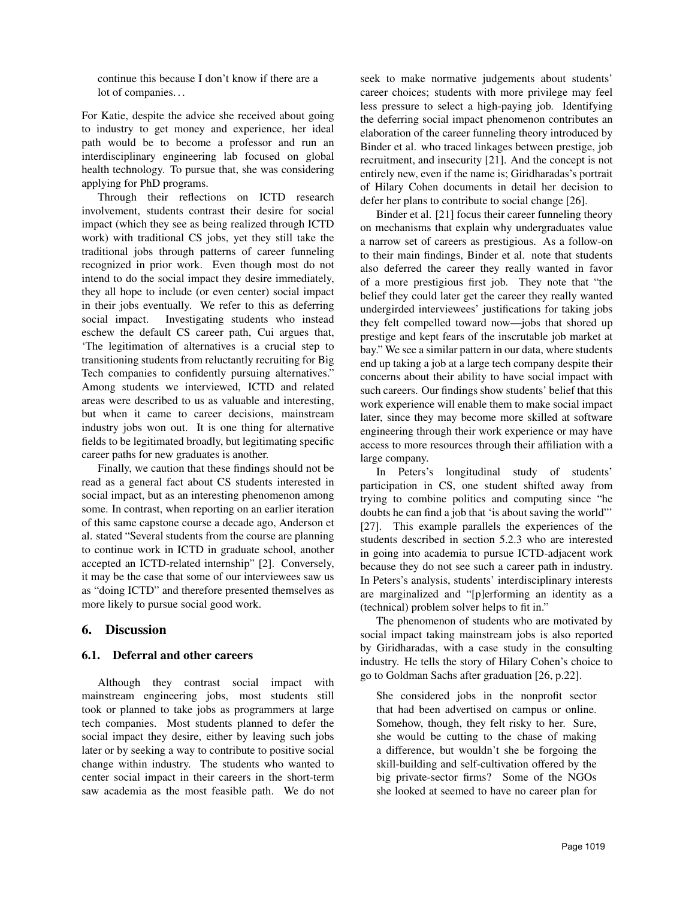continue this because I don't know if there are a lot of companies. . .

For Katie, despite the advice she received about going to industry to get money and experience, her ideal path would be to become a professor and run an interdisciplinary engineering lab focused on global health technology. To pursue that, she was considering applying for PhD programs.

Through their reflections on ICTD research involvement, students contrast their desire for social impact (which they see as being realized through ICTD work) with traditional CS jobs, yet they still take the traditional jobs through patterns of career funneling recognized in prior work. Even though most do not intend to do the social impact they desire immediately, they all hope to include (or even center) social impact in their jobs eventually. We refer to this as deferring social impact. Investigating students who instead eschew the default CS career path, Cui argues that, 'The legitimation of alternatives is a crucial step to transitioning students from reluctantly recruiting for Big Tech companies to confidently pursuing alternatives." Among students we interviewed, ICTD and related areas were described to us as valuable and interesting, but when it came to career decisions, mainstream industry jobs won out. It is one thing for alternative fields to be legitimated broadly, but legitimating specific career paths for new graduates is another.

Finally, we caution that these findings should not be read as a general fact about CS students interested in social impact, but as an interesting phenomenon among some. In contrast, when reporting on an earlier iteration of this same capstone course a decade ago, Anderson et al. stated "Several students from the course are planning to continue work in ICTD in graduate school, another accepted an ICTD-related internship" [2]. Conversely, it may be the case that some of our interviewees saw us as "doing ICTD" and therefore presented themselves as more likely to pursue social good work.

## 6. Discussion

#### 6.1. Deferral and other careers

Although they contrast social impact with mainstream engineering jobs, most students still took or planned to take jobs as programmers at large tech companies. Most students planned to defer the social impact they desire, either by leaving such jobs later or by seeking a way to contribute to positive social change within industry. The students who wanted to center social impact in their careers in the short-term saw academia as the most feasible path. We do not seek to make normative judgements about students' career choices; students with more privilege may feel less pressure to select a high-paying job. Identifying the deferring social impact phenomenon contributes an elaboration of the career funneling theory introduced by Binder et al. who traced linkages between prestige, job recruitment, and insecurity [21]. And the concept is not entirely new, even if the name is; Giridharadas's portrait of Hilary Cohen documents in detail her decision to defer her plans to contribute to social change [26].

Binder et al. [21] focus their career funneling theory on mechanisms that explain why undergraduates value a narrow set of careers as prestigious. As a follow-on to their main findings, Binder et al. note that students also deferred the career they really wanted in favor of a more prestigious first job. They note that "the belief they could later get the career they really wanted undergirded interviewees' justifications for taking jobs they felt compelled toward now—jobs that shored up prestige and kept fears of the inscrutable job market at bay." We see a similar pattern in our data, where students end up taking a job at a large tech company despite their concerns about their ability to have social impact with such careers. Our findings show students' belief that this work experience will enable them to make social impact later, since they may become more skilled at software engineering through their work experience or may have access to more resources through their affiliation with a large company.

In Peters's longitudinal study of students' participation in CS, one student shifted away from trying to combine politics and computing since "he doubts he can find a job that 'is about saving the world"' [27]. This example parallels the experiences of the students described in section 5.2.3 who are interested in going into academia to pursue ICTD-adjacent work because they do not see such a career path in industry. In Peters's analysis, students' interdisciplinary interests are marginalized and "[p]erforming an identity as a (technical) problem solver helps to fit in."

The phenomenon of students who are motivated by social impact taking mainstream jobs is also reported by Giridharadas, with a case study in the consulting industry. He tells the story of Hilary Cohen's choice to go to Goldman Sachs after graduation [26, p.22].

She considered jobs in the nonprofit sector that had been advertised on campus or online. Somehow, though, they felt risky to her. Sure, she would be cutting to the chase of making a difference, but wouldn't she be forgoing the skill-building and self-cultivation offered by the big private-sector firms? Some of the NGOs she looked at seemed to have no career plan for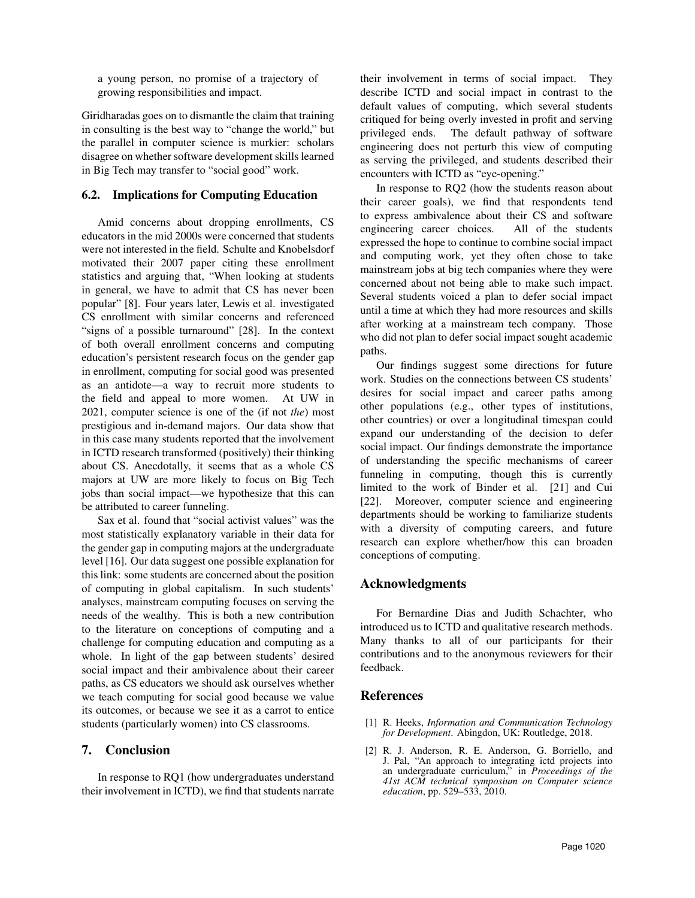a young person, no promise of a trajectory of growing responsibilities and impact.

Giridharadas goes on to dismantle the claim that training in consulting is the best way to "change the world," but the parallel in computer science is murkier: scholars disagree on whether software development skills learned in Big Tech may transfer to "social good" work.

#### 6.2. Implications for Computing Education

Amid concerns about dropping enrollments, CS educators in the mid 2000s were concerned that students were not interested in the field. Schulte and Knobelsdorf motivated their 2007 paper citing these enrollment statistics and arguing that, "When looking at students in general, we have to admit that CS has never been popular" [8]. Four years later, Lewis et al. investigated CS enrollment with similar concerns and referenced "signs of a possible turnaround" [28]. In the context of both overall enrollment concerns and computing education's persistent research focus on the gender gap in enrollment, computing for social good was presented as an antidote—a way to recruit more students to the field and appeal to more women. At UW in 2021, computer science is one of the (if not *the*) most prestigious and in-demand majors. Our data show that in this case many students reported that the involvement in ICTD research transformed (positively) their thinking about CS. Anecdotally, it seems that as a whole CS majors at UW are more likely to focus on Big Tech jobs than social impact—we hypothesize that this can be attributed to career funneling.

Sax et al. found that "social activist values" was the most statistically explanatory variable in their data for the gender gap in computing majors at the undergraduate level [16]. Our data suggest one possible explanation for this link: some students are concerned about the position of computing in global capitalism. In such students' analyses, mainstream computing focuses on serving the needs of the wealthy. This is both a new contribution to the literature on conceptions of computing and a challenge for computing education and computing as a whole. In light of the gap between students' desired social impact and their ambivalence about their career paths, as CS educators we should ask ourselves whether we teach computing for social good because we value its outcomes, or because we see it as a carrot to entice students (particularly women) into CS classrooms.

#### 7. Conclusion

In response to RQ1 (how undergraduates understand their involvement in ICTD), we find that students narrate

their involvement in terms of social impact. They describe ICTD and social impact in contrast to the default values of computing, which several students critiqued for being overly invested in profit and serving privileged ends. The default pathway of software engineering does not perturb this view of computing as serving the privileged, and students described their encounters with ICTD as "eye-opening."

In response to RQ2 (how the students reason about their career goals), we find that respondents tend to express ambivalence about their CS and software engineering career choices. All of the students expressed the hope to continue to combine social impact and computing work, yet they often chose to take mainstream jobs at big tech companies where they were concerned about not being able to make such impact. Several students voiced a plan to defer social impact until a time at which they had more resources and skills after working at a mainstream tech company. Those who did not plan to defer social impact sought academic paths.

Our findings suggest some directions for future work. Studies on the connections between CS students' desires for social impact and career paths among other populations (e.g., other types of institutions, other countries) or over a longitudinal timespan could expand our understanding of the decision to defer social impact. Our findings demonstrate the importance of understanding the specific mechanisms of career funneling in computing, though this is currently limited to the work of Binder et al. [21] and Cui [22]. Moreover, computer science and engineering departments should be working to familiarize students with a diversity of computing careers, and future research can explore whether/how this can broaden conceptions of computing.

## Acknowledgments

For Bernardine Dias and Judith Schachter, who introduced us to ICTD and qualitative research methods. Many thanks to all of our participants for their contributions and to the anonymous reviewers for their feedback.

#### References

- [1] R. Heeks, *Information and Communication Technology for Development*. Abingdon, UK: Routledge, 2018.
- [2] R. J. Anderson, R. E. Anderson, G. Borriello, and J. Pal, "An approach to integrating ictd projects into an undergraduate curriculum," in *Proceedings of the 41st ACM technical symposium on Computer science education*, pp. 529–533, 2010.